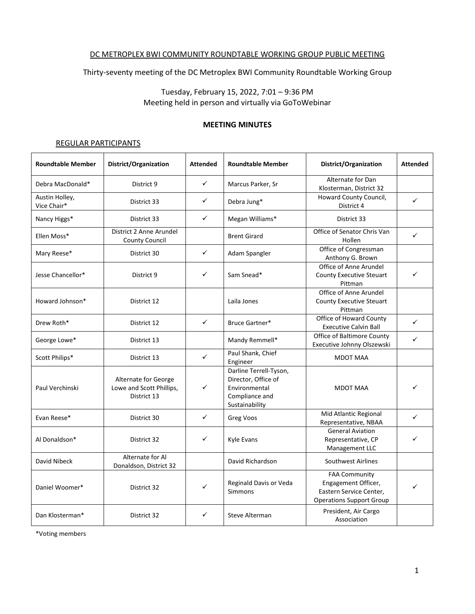#### DC METROPLEX BWI COMMUNITY ROUNDTABLE WORKING GROUP PUBLIC MEETING

Thirty-seventy meeting of the DC Metroplex BWI Community Roundtable Working Group

Tuesday, February 15, 2022, 7:01 – 9:36 PM Meeting held in person and virtually via GoToWebinar

#### **MEETING MINUTES**

#### REGULAR PARTICIPANTS

| <b>Roundtable Member</b>      | District/Organization                                           | <b>Attended</b> | <b>Roundtable Member</b>                                                                           | District/Organization                                                                                     | <b>Attended</b> |
|-------------------------------|-----------------------------------------------------------------|-----------------|----------------------------------------------------------------------------------------------------|-----------------------------------------------------------------------------------------------------------|-----------------|
| Debra MacDonald*              | District 9                                                      | ✓               | Marcus Parker, Sr                                                                                  | Alternate for Dan<br>Klosterman, District 32                                                              |                 |
| Austin Holley,<br>Vice Chair* | District 33                                                     | ✓               | Debra Jung*                                                                                        | Howard County Council,<br>District 4                                                                      | $\checkmark$    |
| Nancy Higgs*                  | District 33                                                     | ✓               | Megan Williams*                                                                                    | District 33                                                                                               |                 |
| Ellen Moss*                   | District 2 Anne Arundel<br><b>County Council</b>                |                 | <b>Brent Girard</b>                                                                                | Office of Senator Chris Van<br>Hollen                                                                     | $\checkmark$    |
| Mary Reese*                   | District 30                                                     | $\checkmark$    | Adam Spangler                                                                                      | Office of Congressman<br>Anthony G. Brown                                                                 |                 |
| Jesse Chancellor*             | District 9                                                      | ✓               | Sam Snead*                                                                                         | Office of Anne Arundel<br><b>County Executive Steuart</b><br>Pittman                                      | ✓               |
| Howard Johnson*               | District 12                                                     |                 | Laila Jones                                                                                        | Office of Anne Arundel<br><b>County Executive Steuart</b><br>Pittman                                      |                 |
| Drew Roth*                    | District 12                                                     | $\checkmark$    | Bruce Gartner*                                                                                     | Office of Howard County<br><b>Executive Calvin Ball</b>                                                   | $\checkmark$    |
| George Lowe*                  | District 13                                                     |                 | Mandy Remmell*                                                                                     | Office of Baltimore County<br>Executive Johnny Olszewski                                                  | ✓               |
| Scott Philips*                | District 13                                                     | $\checkmark$    | Paul Shank, Chief<br>Engineer                                                                      | <b>MDOT MAA</b>                                                                                           |                 |
| Paul Verchinski               | Alternate for George<br>Lowe and Scott Phillips,<br>District 13 | ✓               | Darline Terrell-Tyson,<br>Director, Office of<br>Environmental<br>Compliance and<br>Sustainability | <b>MDOT MAA</b>                                                                                           |                 |
| Evan Reese*                   | District 30                                                     | ✓               | Greg Voos                                                                                          | Mid Atlantic Regional<br>Representative, NBAA                                                             | ✓               |
| Al Donaldson*                 | District 32                                                     | ✓               | Kyle Evans                                                                                         | <b>General Aviation</b><br>Representative, CP<br>Management LLC                                           | ✓               |
| David Nibeck                  | Alternate for Al<br>Donaldson, District 32                      |                 | David Richardson                                                                                   | Southwest Airlines                                                                                        |                 |
| Daniel Woomer*                | District 32                                                     | $\checkmark$    | Reginald Davis or Veda<br>Simmons                                                                  | <b>FAA Community</b><br>Engagement Officer,<br>Eastern Service Center,<br><b>Operations Support Group</b> | ✓               |
| Dan Klosterman*               | District 32                                                     | ✓               | Steve Alterman                                                                                     | President, Air Cargo<br>Association                                                                       |                 |

\*Voting members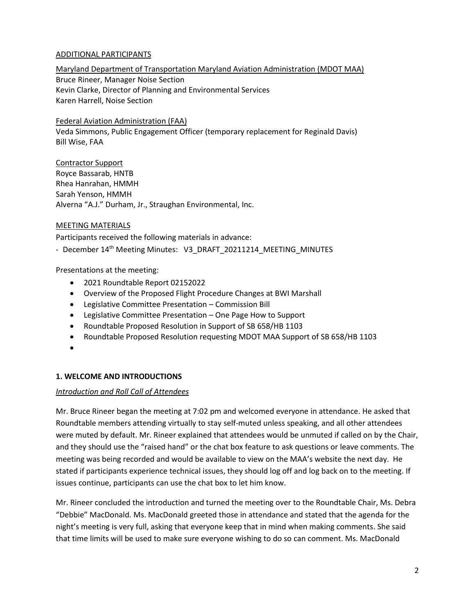### ADDITIONAL PARTICIPANTS

### Maryland Department of Transportation Maryland Aviation Administration (MDOT MAA) Bruce Rineer, Manager Noise Section Kevin Clarke, Director of Planning and Environmental Services Karen Harrell, Noise Section

### Federal Aviation Administration (FAA)

Veda Simmons, Public Engagement Officer (temporary replacement for Reginald Davis) Bill Wise, FAA

Contractor Support Royce Bassarab, HNTB Rhea Hanrahan, HMMH Sarah Yenson, HMMH Alverna "A.J." Durham, Jr., Straughan Environmental, Inc.

#### MEETING MATERIALS

Participants received the following materials in advance:

- December 14<sup>th</sup> Meeting Minutes: V3\_DRAFT\_20211214\_MEETING\_MINUTES

### Presentations at the meeting:

- 2021 Roundtable Report 02152022
- Overview of the Proposed Flight Procedure Changes at BWI Marshall
- Legislative Committee Presentation Commission Bill
- Legislative Committee Presentation One Page How to Support
- Roundtable Proposed Resolution in Support of SB 658/HB 1103
- Roundtable Proposed Resolution requesting MDOT MAA Support of SB 658/HB 1103
- •

### **1. WELCOME AND INTRODUCTIONS**

### *Introduction and Roll Call of Attendees*

Mr. Bruce Rineer began the meeting at 7:02 pm and welcomed everyone in attendance. He asked that Roundtable members attending virtually to stay self-muted unless speaking, and all other attendees were muted by default. Mr. Rineer explained that attendees would be unmuted if called on by the Chair, and they should use the "raised hand" or the chat box feature to ask questions or leave comments. The meeting was being recorded and would be available to view on the MAA's website the next day. He stated if participants experience technical issues, they should log off and log back on to the meeting. If issues continue, participants can use the chat box to let him know.

Mr. Rineer concluded the introduction and turned the meeting over to the Roundtable Chair, Ms. Debra "Debbie" MacDonald. Ms. MacDonald greeted those in attendance and stated that the agenda for the night's meeting is very full, asking that everyone keep that in mind when making comments. She said that time limits will be used to make sure everyone wishing to do so can comment. Ms. MacDonald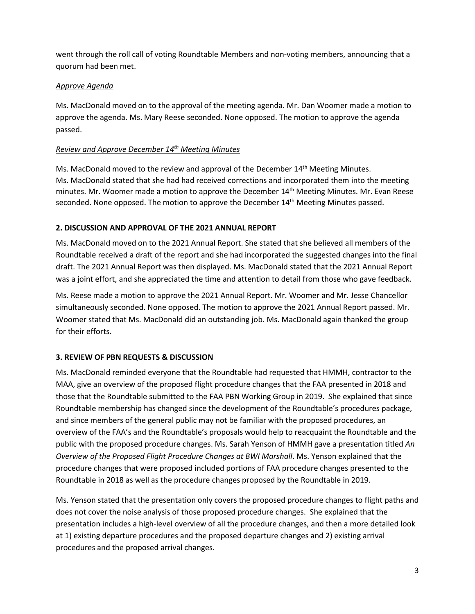went through the roll call of voting Roundtable Members and non-voting members, announcing that a quorum had been met.

# *Approve Agenda*

Ms. MacDonald moved on to the approval of the meeting agenda. Mr. Dan Woomer made a motion to approve the agenda. Ms. Mary Reese seconded. None opposed. The motion to approve the agenda passed.

# *Review and Approve December 14 th Meeting Minutes*

Ms. MacDonald moved to the review and approval of the December 14<sup>th</sup> Meeting Minutes. Ms. MacDonald stated that she had had received corrections and incorporated them into the meeting minutes. Mr. Woomer made a motion to approve the December 14<sup>th</sup> Meeting Minutes. Mr. Evan Reese seconded. None opposed. The motion to approve the December 14<sup>th</sup> Meeting Minutes passed.

# **2. DISCUSSION AND APPROVAL OF THE 2021 ANNUAL REPORT**

Ms. MacDonald moved on to the 2021 Annual Report. She stated that she believed all members of the Roundtable received a draft of the report and she had incorporated the suggested changes into the final draft. The 2021 Annual Report was then displayed. Ms. MacDonald stated that the 2021 Annual Report was a joint effort, and she appreciated the time and attention to detail from those who gave feedback.

Ms. Reese made a motion to approve the 2021 Annual Report. Mr. Woomer and Mr. Jesse Chancellor simultaneously seconded. None opposed. The motion to approve the 2021 Annual Report passed. Mr. Woomer stated that Ms. MacDonald did an outstanding job. Ms. MacDonald again thanked the group for their efforts.

# **3. REVIEW OF PBN REQUESTS & DISCUSSION**

Ms. MacDonald reminded everyone that the Roundtable had requested that HMMH, contractor to the MAA, give an overview of the proposed flight procedure changes that the FAA presented in 2018 and those that the Roundtable submitted to the FAA PBN Working Group in 2019. She explained that since Roundtable membership has changed since the development of the Roundtable's procedures package, and since members of the general public may not be familiar with the proposed procedures, an overview of the FAA's and the Roundtable's proposals would help to reacquaint the Roundtable and the public with the proposed procedure changes. Ms. Sarah Yenson of HMMH gave a presentation titled *An Overview of the Proposed Flight Procedure Changes at BWI Marshall*. Ms. Yenson explained that the procedure changes that were proposed included portions of FAA procedure changes presented to the Roundtable in 2018 as well as the procedure changes proposed by the Roundtable in 2019.

Ms. Yenson stated that the presentation only covers the proposed procedure changes to flight paths and does not cover the noise analysis of those proposed procedure changes. She explained that the presentation includes a high-level overview of all the procedure changes, and then a more detailed look at 1) existing departure procedures and the proposed departure changes and 2) existing arrival procedures and the proposed arrival changes.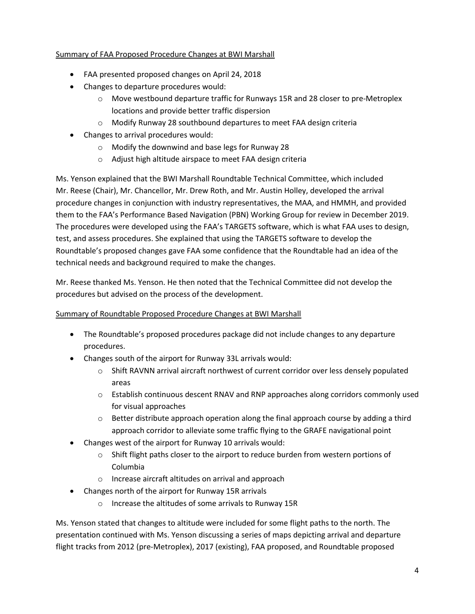# Summary of FAA Proposed Procedure Changes at BWI Marshall

- FAA presented proposed changes on April 24, 2018
- Changes to departure procedures would:
	- $\circ$  Move westbound departure traffic for Runways 15R and 28 closer to pre-Metroplex locations and provide better traffic dispersion
	- o Modify Runway 28 southbound departures to meet FAA design criteria
- Changes to arrival procedures would:
	- o Modify the downwind and base legs for Runway 28
	- o Adjust high altitude airspace to meet FAA design criteria

Ms. Yenson explained that the BWI Marshall Roundtable Technical Committee, which included Mr. Reese (Chair), Mr. Chancellor, Mr. Drew Roth, and Mr. Austin Holley, developed the arrival procedure changes in conjunction with industry representatives, the MAA, and HMMH, and provided them to the FAA's Performance Based Navigation (PBN) Working Group for review in December 2019. The procedures were developed using the FAA's TARGETS software, which is what FAA uses to design, test, and assess procedures. She explained that using the TARGETS software to develop the Roundtable's proposed changes gave FAA some confidence that the Roundtable had an idea of the technical needs and background required to make the changes.

Mr. Reese thanked Ms. Yenson. He then noted that the Technical Committee did not develop the procedures but advised on the process of the development.

# Summary of Roundtable Proposed Procedure Changes at BWI Marshall

- The Roundtable's proposed procedures package did not include changes to any departure procedures.
- Changes south of the airport for Runway 33L arrivals would:
	- o Shift RAVNN arrival aircraft northwest of current corridor over less densely populated areas
	- $\circ$  Establish continuous descent RNAV and RNP approaches along corridors commonly used for visual approaches
	- $\circ$  Better distribute approach operation along the final approach course by adding a third approach corridor to alleviate some traffic flying to the GRAFE navigational point
- Changes west of the airport for Runway 10 arrivals would:
	- $\circ$  Shift flight paths closer to the airport to reduce burden from western portions of Columbia
	- o Increase aircraft altitudes on arrival and approach
- Changes north of the airport for Runway 15R arrivals
	- o Increase the altitudes of some arrivals to Runway 15R

Ms. Yenson stated that changes to altitude were included for some flight paths to the north. The presentation continued with Ms. Yenson discussing a series of maps depicting arrival and departure flight tracks from 2012 (pre-Metroplex), 2017 (existing), FAA proposed, and Roundtable proposed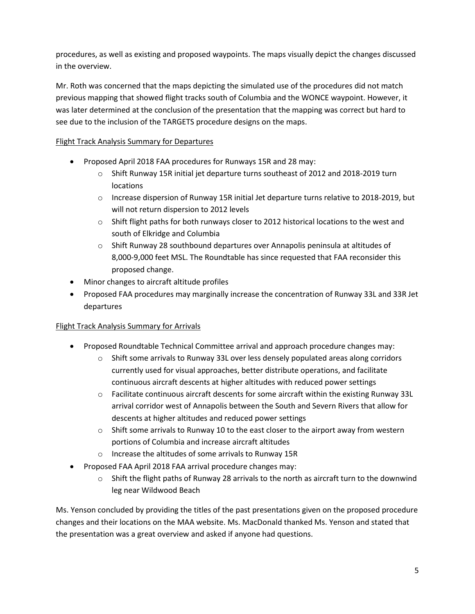procedures, as well as existing and proposed waypoints. The maps visually depict the changes discussed in the overview.

Mr. Roth was concerned that the maps depicting the simulated use of the procedures did not match previous mapping that showed flight tracks south of Columbia and the WONCE waypoint. However, it was later determined at the conclusion of the presentation that the mapping was correct but hard to see due to the inclusion of the TARGETS procedure designs on the maps.

# Flight Track Analysis Summary for Departures

- Proposed April 2018 FAA procedures for Runways 15R and 28 may:
	- $\circ$  Shift Runway 15R initial jet departure turns southeast of 2012 and 2018-2019 turn locations
	- o Increase dispersion of Runway 15R initial Jet departure turns relative to 2018-2019, but will not return dispersion to 2012 levels
	- $\circ$  Shift flight paths for both runways closer to 2012 historical locations to the west and south of Elkridge and Columbia
	- o Shift Runway 28 southbound departures over Annapolis peninsula at altitudes of 8,000-9,000 feet MSL. The Roundtable has since requested that FAA reconsider this proposed change.
- Minor changes to aircraft altitude profiles
- Proposed FAA procedures may marginally increase the concentration of Runway 33L and 33R Jet departures

# Flight Track Analysis Summary for Arrivals

- Proposed Roundtable Technical Committee arrival and approach procedure changes may:
	- $\circ$  Shift some arrivals to Runway 33L over less densely populated areas along corridors currently used for visual approaches, better distribute operations, and facilitate continuous aircraft descents at higher altitudes with reduced power settings
	- o Facilitate continuous aircraft descents for some aircraft within the existing Runway 33L arrival corridor west of Annapolis between the South and Severn Rivers that allow for descents at higher altitudes and reduced power settings
	- $\circ$  Shift some arrivals to Runway 10 to the east closer to the airport away from western portions of Columbia and increase aircraft altitudes
	- o Increase the altitudes of some arrivals to Runway 15R
- Proposed FAA April 2018 FAA arrival procedure changes may:
	- $\circ$  Shift the flight paths of Runway 28 arrivals to the north as aircraft turn to the downwind leg near Wildwood Beach

Ms. Yenson concluded by providing the titles of the past presentations given on the proposed procedure changes and their locations on the MAA website. Ms. MacDonald thanked Ms. Yenson and stated that the presentation was a great overview and asked if anyone had questions.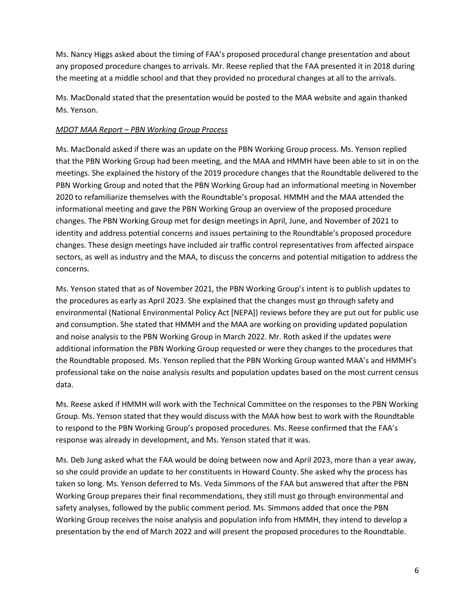Ms. Nancy Higgs asked about the timing of FAA's proposed procedural change presentation and about any proposed procedure changes to arrivals. Mr. Reese replied that the FAA presented it in 2018 during the meeting at a middle school and that they provided no procedural changes at all to the arrivals.

Ms. MacDonald stated that the presentation would be posted to the MAA website and again thanked Ms. Yenson.

# *MDOT MAA Report – PBN Working Group Process*

Ms. MacDonald asked if there was an update on the PBN Working Group process. Ms. Yenson replied that the PBN Working Group had been meeting, and the MAA and HMMH have been able to sit in on the meetings. She explained the history of the 2019 procedure changes that the Roundtable delivered to the PBN Working Group and noted that the PBN Working Group had an informational meeting in November 2020 to refamiliarize themselves with the Roundtable's proposal. HMMH and the MAA attended the informational meeting and gave the PBN Working Group an overview of the proposed procedure changes. The PBN Working Group met for design meetings in April, June, and November of 2021 to identity and address potential concerns and issues pertaining to the Roundtable's proposed procedure changes. These design meetings have included air traffic control representatives from affected airspace sectors, as well as industry and the MAA, to discuss the concerns and potential mitigation to address the concerns.

Ms. Yenson stated that as of November 2021, the PBN Working Group's intent is to publish updates to the procedures as early as April 2023. She explained that the changes must go through safety and environmental (National Environmental Policy Act [NEPA]) reviews before they are put out for public use and consumption. She stated that HMMH and the MAA are working on providing updated population and noise analysis to the PBN Working Group in March 2022. Mr. Roth asked if the updates were additional information the PBN Working Group requested or were they changes to the procedures that the Roundtable proposed. Ms. Yenson replied that the PBN Working Group wanted MAA's and HMMH's professional take on the noise analysis results and population updates based on the most current census data.

Ms. Reese asked if HMMH will work with the Technical Committee on the responses to the PBN Working Group. Ms. Yenson stated that they would discuss with the MAA how best to work with the Roundtable to respond to the PBN Working Group's proposed procedures. Ms. Reese confirmed that the FAA's response was already in development, and Ms. Yenson stated that it was.

Ms. Deb Jung asked what the FAA would be doing between now and April 2023, more than a year away, so she could provide an update to her constituents in Howard County. She asked why the process has taken so long. Ms. Yenson deferred to Ms. Veda Simmons of the FAA but answered that after the PBN Working Group prepares their final recommendations, they still must go through environmental and safety analyses, followed by the public comment period. Ms. Simmons added that once the PBN Working Group receives the noise analysis and population info from HMMH, they intend to develop a presentation by the end of March 2022 and will present the proposed procedures to the Roundtable.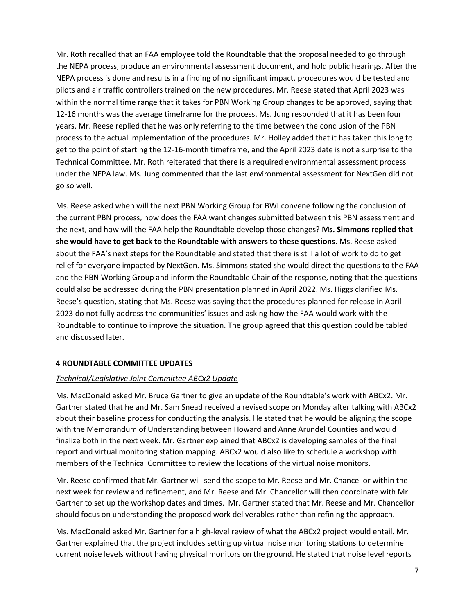Mr. Roth recalled that an FAA employee told the Roundtable that the proposal needed to go through the NEPA process, produce an environmental assessment document, and hold public hearings. After the NEPA process is done and results in a finding of no significant impact, procedures would be tested and pilots and air traffic controllers trained on the new procedures. Mr. Reese stated that April 2023 was within the normal time range that it takes for PBN Working Group changes to be approved, saying that 12-16 months was the average timeframe for the process. Ms. Jung responded that it has been four years. Mr. Reese replied that he was only referring to the time between the conclusion of the PBN process to the actual implementation of the procedures. Mr. Holley added that it has taken this long to get to the point of starting the 12-16-month timeframe, and the April 2023 date is not a surprise to the Technical Committee. Mr. Roth reiterated that there is a required environmental assessment process under the NEPA law. Ms. Jung commented that the last environmental assessment for NextGen did not go so well.

Ms. Reese asked when will the next PBN Working Group for BWI convene following the conclusion of the current PBN process, how does the FAA want changes submitted between this PBN assessment and the next, and how will the FAA help the Roundtable develop those changes? **Ms. Simmons replied that she would have to get back to the Roundtable with answers to these questions**. Ms. Reese asked about the FAA's next steps for the Roundtable and stated that there is still a lot of work to do to get relief for everyone impacted by NextGen. Ms. Simmons stated she would direct the questions to the FAA and the PBN Working Group and inform the Roundtable Chair of the response, noting that the questions could also be addressed during the PBN presentation planned in April 2022. Ms. Higgs clarified Ms. Reese's question, stating that Ms. Reese was saying that the procedures planned for release in April 2023 do not fully address the communities' issues and asking how the FAA would work with the Roundtable to continue to improve the situation. The group agreed that this question could be tabled and discussed later.

### **4 ROUNDTABLE COMMITTEE UPDATES**

### *Technical/Legislative Joint Committee ABCx2 Update*

Ms. MacDonald asked Mr. Bruce Gartner to give an update of the Roundtable's work with ABCx2. Mr. Gartner stated that he and Mr. Sam Snead received a revised scope on Monday after talking with ABCx2 about their baseline process for conducting the analysis. He stated that he would be aligning the scope with the Memorandum of Understanding between Howard and Anne Arundel Counties and would finalize both in the next week. Mr. Gartner explained that ABCx2 is developing samples of the final report and virtual monitoring station mapping. ABCx2 would also like to schedule a workshop with members of the Technical Committee to review the locations of the virtual noise monitors.

Mr. Reese confirmed that Mr. Gartner will send the scope to Mr. Reese and Mr. Chancellor within the next week for review and refinement, and Mr. Reese and Mr. Chancellor will then coordinate with Mr. Gartner to set up the workshop dates and times. Mr. Gartner stated that Mr. Reese and Mr. Chancellor should focus on understanding the proposed work deliverables rather than refining the approach.

Ms. MacDonald asked Mr. Gartner for a high-level review of what the ABCx2 project would entail. Mr. Gartner explained that the project includes setting up virtual noise monitoring stations to determine current noise levels without having physical monitors on the ground. He stated that noise level reports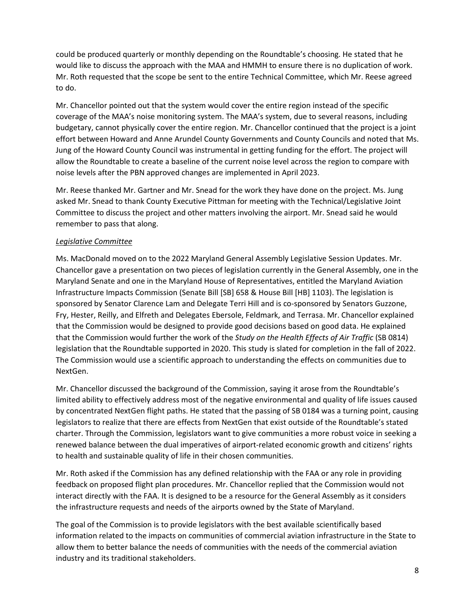could be produced quarterly or monthly depending on the Roundtable's choosing. He stated that he would like to discuss the approach with the MAA and HMMH to ensure there is no duplication of work. Mr. Roth requested that the scope be sent to the entire Technical Committee, which Mr. Reese agreed to do.

Mr. Chancellor pointed out that the system would cover the entire region instead of the specific coverage of the MAA's noise monitoring system. The MAA's system, due to several reasons, including budgetary, cannot physically cover the entire region. Mr. Chancellor continued that the project is a joint effort between Howard and Anne Arundel County Governments and County Councils and noted that Ms. Jung of the Howard County Council was instrumental in getting funding for the effort. The project will allow the Roundtable to create a baseline of the current noise level across the region to compare with noise levels after the PBN approved changes are implemented in April 2023.

Mr. Reese thanked Mr. Gartner and Mr. Snead for the work they have done on the project. Ms. Jung asked Mr. Snead to thank County Executive Pittman for meeting with the Technical/Legislative Joint Committee to discuss the project and other matters involving the airport. Mr. Snead said he would remember to pass that along.

### *Legislative Committee*

Ms. MacDonald moved on to the 2022 Maryland General Assembly Legislative Session Updates. Mr. Chancellor gave a presentation on two pieces of legislation currently in the General Assembly, one in the Maryland Senate and one in the Maryland House of Representatives, entitled the Maryland Aviation Infrastructure Impacts Commission (Senate Bill [SB] 658 & House Bill [HB] 1103). The legislation is sponsored by Senator Clarence Lam and Delegate Terri Hill and is co-sponsored by Senators Guzzone, Fry, Hester, Reilly, and Elfreth and Delegates Ebersole, Feldmark, and Terrasa. Mr. Chancellor explained that the Commission would be designed to provide good decisions based on good data. He explained that the Commission would further the work of the *Study on the Health Effects of Air Traffic* (SB 0814) legislation that the Roundtable supported in 2020. This study is slated for completion in the fall of 2022. The Commission would use a scientific approach to understanding the effects on communities due to NextGen.

Mr. Chancellor discussed the background of the Commission, saying it arose from the Roundtable's limited ability to effectively address most of the negative environmental and quality of life issues caused by concentrated NextGen flight paths. He stated that the passing of SB 0184 was a turning point, causing legislators to realize that there are effects from NextGen that exist outside of the Roundtable's stated charter. Through the Commission, legislators want to give communities a more robust voice in seeking a renewed balance between the dual imperatives of airport-related economic growth and citizens' rights to health and sustainable quality of life in their chosen communities.

Mr. Roth asked if the Commission has any defined relationship with the FAA or any role in providing feedback on proposed flight plan procedures. Mr. Chancellor replied that the Commission would not interact directly with the FAA. It is designed to be a resource for the General Assembly as it considers the infrastructure requests and needs of the airports owned by the State of Maryland.

The goal of the Commission is to provide legislators with the best available scientifically based information related to the impacts on communities of commercial aviation infrastructure in the State to allow them to better balance the needs of communities with the needs of the commercial aviation industry and its traditional stakeholders.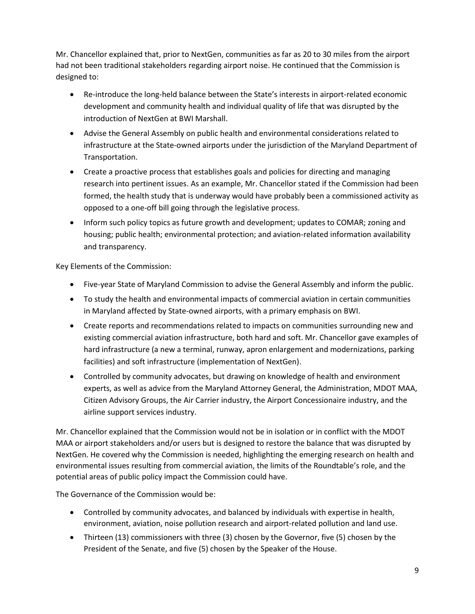Mr. Chancellor explained that, prior to NextGen, communities as far as 20 to 30 miles from the airport had not been traditional stakeholders regarding airport noise. He continued that the Commission is designed to:

- Re-introduce the long-held balance between the State's interests in airport-related economic development and community health and individual quality of life that was disrupted by the introduction of NextGen at BWI Marshall.
- Advise the General Assembly on public health and environmental considerations related to infrastructure at the State-owned airports under the jurisdiction of the Maryland Department of Transportation.
- Create a proactive process that establishes goals and policies for directing and managing research into pertinent issues. As an example, Mr. Chancellor stated if the Commission had been formed, the health study that is underway would have probably been a commissioned activity as opposed to a one-off bill going through the legislative process.
- Inform such policy topics as future growth and development; updates to COMAR; zoning and housing; public health; environmental protection; and aviation-related information availability and transparency.

Key Elements of the Commission:

- Five-year State of Maryland Commission to advise the General Assembly and inform the public.
- To study the health and environmental impacts of commercial aviation in certain communities in Maryland affected by State-owned airports, with a primary emphasis on BWI.
- Create reports and recommendations related to impacts on communities surrounding new and existing commercial aviation infrastructure, both hard and soft. Mr. Chancellor gave examples of hard infrastructure (a new a terminal, runway, apron enlargement and modernizations, parking facilities) and soft infrastructure (implementation of NextGen).
- Controlled by community advocates, but drawing on knowledge of health and environment experts, as well as advice from the Maryland Attorney General, the Administration, MDOT MAA, Citizen Advisory Groups, the Air Carrier industry, the Airport Concessionaire industry, and the airline support services industry.

Mr. Chancellor explained that the Commission would not be in isolation or in conflict with the MDOT MAA or airport stakeholders and/or users but is designed to restore the balance that was disrupted by NextGen. He covered why the Commission is needed, highlighting the emerging research on health and environmental issues resulting from commercial aviation, the limits of the Roundtable's role, and the potential areas of public policy impact the Commission could have.

The Governance of the Commission would be:

- Controlled by community advocates, and balanced by individuals with expertise in health, environment, aviation, noise pollution research and airport-related pollution and land use.
- Thirteen (13) commissioners with three (3) chosen by the Governor, five (5) chosen by the President of the Senate, and five (5) chosen by the Speaker of the House.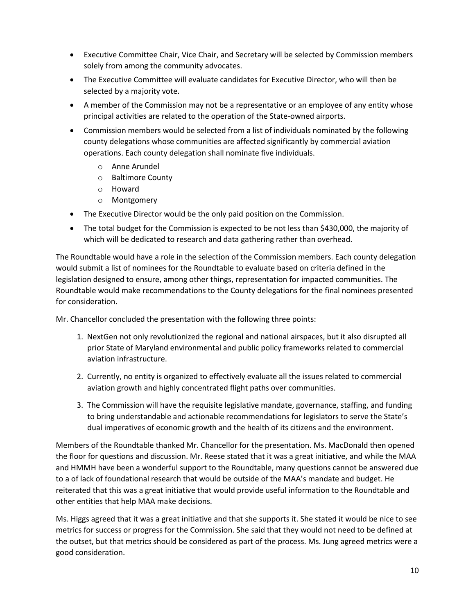- Executive Committee Chair, Vice Chair, and Secretary will be selected by Commission members solely from among the community advocates.
- The Executive Committee will evaluate candidates for Executive Director, who will then be selected by a majority vote.
- A member of the Commission may not be a representative or an employee of any entity whose principal activities are related to the operation of the State-owned airports.
- Commission members would be selected from a list of individuals nominated by the following county delegations whose communities are affected significantly by commercial aviation operations. Each county delegation shall nominate five individuals.
	- o Anne Arundel
	- o Baltimore County
	- o Howard
	- o Montgomery
- The Executive Director would be the only paid position on the Commission.
- The total budget for the Commission is expected to be not less than \$430,000, the majority of which will be dedicated to research and data gathering rather than overhead.

The Roundtable would have a role in the selection of the Commission members. Each county delegation would submit a list of nominees for the Roundtable to evaluate based on criteria defined in the legislation designed to ensure, among other things, representation for impacted communities. The Roundtable would make recommendations to the County delegations for the final nominees presented for consideration.

Mr. Chancellor concluded the presentation with the following three points:

- 1. NextGen not only revolutionized the regional and national airspaces, but it also disrupted all prior State of Maryland environmental and public policy frameworks related to commercial aviation infrastructure.
- 2. Currently, no entity is organized to effectively evaluate all the issues related to commercial aviation growth and highly concentrated flight paths over communities.
- 3. The Commission will have the requisite legislative mandate, governance, staffing, and funding to bring understandable and actionable recommendations for legislators to serve the State's dual imperatives of economic growth and the health of its citizens and the environment.

Members of the Roundtable thanked Mr. Chancellor for the presentation. Ms. MacDonald then opened the floor for questions and discussion. Mr. Reese stated that it was a great initiative, and while the MAA and HMMH have been a wonderful support to the Roundtable, many questions cannot be answered due to a of lack of foundational research that would be outside of the MAA's mandate and budget. He reiterated that this was a great initiative that would provide useful information to the Roundtable and other entities that help MAA make decisions.

Ms. Higgs agreed that it was a great initiative and that she supports it. She stated it would be nice to see metrics for success or progress for the Commission. She said that they would not need to be defined at the outset, but that metrics should be considered as part of the process. Ms. Jung agreed metrics were a good consideration.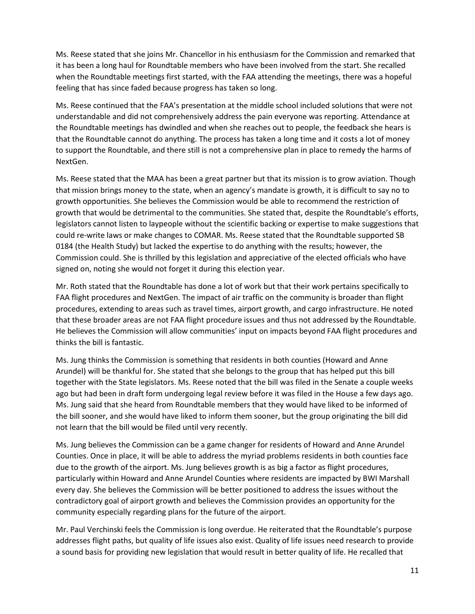Ms. Reese stated that she joins Mr. Chancellor in his enthusiasm for the Commission and remarked that it has been a long haul for Roundtable members who have been involved from the start. She recalled when the Roundtable meetings first started, with the FAA attending the meetings, there was a hopeful feeling that has since faded because progress has taken so long.

Ms. Reese continued that the FAA's presentation at the middle school included solutions that were not understandable and did not comprehensively address the pain everyone was reporting. Attendance at the Roundtable meetings has dwindled and when she reaches out to people, the feedback she hears is that the Roundtable cannot do anything. The process has taken a long time and it costs a lot of money to support the Roundtable, and there still is not a comprehensive plan in place to remedy the harms of NextGen.

Ms. Reese stated that the MAA has been a great partner but that its mission is to grow aviation. Though that mission brings money to the state, when an agency's mandate is growth, it is difficult to say no to growth opportunities. She believes the Commission would be able to recommend the restriction of growth that would be detrimental to the communities. She stated that, despite the Roundtable's efforts, legislators cannot listen to laypeople without the scientific backing or expertise to make suggestions that could re-write laws or make changes to COMAR. Ms. Reese stated that the Roundtable supported SB 0184 (the Health Study) but lacked the expertise to do anything with the results; however, the Commission could. She is thrilled by this legislation and appreciative of the elected officials who have signed on, noting she would not forget it during this election year.

Mr. Roth stated that the Roundtable has done a lot of work but that their work pertains specifically to FAA flight procedures and NextGen. The impact of air traffic on the community is broader than flight procedures, extending to areas such as travel times, airport growth, and cargo infrastructure. He noted that these broader areas are not FAA flight procedure issues and thus not addressed by the Roundtable. He believes the Commission will allow communities' input on impacts beyond FAA flight procedures and thinks the bill is fantastic.

Ms. Jung thinks the Commission is something that residents in both counties (Howard and Anne Arundel) will be thankful for. She stated that she belongs to the group that has helped put this bill together with the State legislators. Ms. Reese noted that the bill was filed in the Senate a couple weeks ago but had been in draft form undergoing legal review before it was filed in the House a few days ago. Ms. Jung said that she heard from Roundtable members that they would have liked to be informed of the bill sooner, and she would have liked to inform them sooner, but the group originating the bill did not learn that the bill would be filed until very recently.

Ms. Jung believes the Commission can be a game changer for residents of Howard and Anne Arundel Counties. Once in place, it will be able to address the myriad problems residents in both counties face due to the growth of the airport. Ms. Jung believes growth is as big a factor as flight procedures, particularly within Howard and Anne Arundel Counties where residents are impacted by BWI Marshall every day. She believes the Commission will be better positioned to address the issues without the contradictory goal of airport growth and believes the Commission provides an opportunity for the community especially regarding plans for the future of the airport.

Mr. Paul Verchinski feels the Commission is long overdue. He reiterated that the Roundtable's purpose addresses flight paths, but quality of life issues also exist. Quality of life issues need research to provide a sound basis for providing new legislation that would result in better quality of life. He recalled that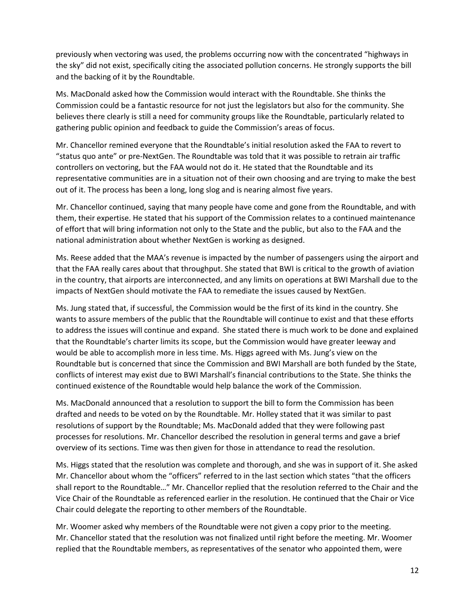previously when vectoring was used, the problems occurring now with the concentrated "highways in the sky" did not exist, specifically citing the associated pollution concerns. He strongly supports the bill and the backing of it by the Roundtable.

Ms. MacDonald asked how the Commission would interact with the Roundtable. She thinks the Commission could be a fantastic resource for not just the legislators but also for the community. She believes there clearly is still a need for community groups like the Roundtable, particularly related to gathering public opinion and feedback to guide the Commission's areas of focus.

Mr. Chancellor remined everyone that the Roundtable's initial resolution asked the FAA to revert to "status quo ante" or pre-NextGen. The Roundtable was told that it was possible to retrain air traffic controllers on vectoring, but the FAA would not do it. He stated that the Roundtable and its representative communities are in a situation not of their own choosing and are trying to make the best out of it. The process has been a long, long slog and is nearing almost five years.

Mr. Chancellor continued, saying that many people have come and gone from the Roundtable, and with them, their expertise. He stated that his support of the Commission relates to a continued maintenance of effort that will bring information not only to the State and the public, but also to the FAA and the national administration about whether NextGen is working as designed.

Ms. Reese added that the MAA's revenue is impacted by the number of passengers using the airport and that the FAA really cares about that throughput. She stated that BWI is critical to the growth of aviation in the country, that airports are interconnected, and any limits on operations at BWI Marshall due to the impacts of NextGen should motivate the FAA to remediate the issues caused by NextGen.

Ms. Jung stated that, if successful, the Commission would be the first of its kind in the country. She wants to assure members of the public that the Roundtable will continue to exist and that these efforts to address the issues will continue and expand. She stated there is much work to be done and explained that the Roundtable's charter limits its scope, but the Commission would have greater leeway and would be able to accomplish more in less time. Ms. Higgs agreed with Ms. Jung's view on the Roundtable but is concerned that since the Commission and BWI Marshall are both funded by the State, conflicts of interest may exist due to BWI Marshall's financial contributions to the State. She thinks the continued existence of the Roundtable would help balance the work of the Commission.

Ms. MacDonald announced that a resolution to support the bill to form the Commission has been drafted and needs to be voted on by the Roundtable. Mr. Holley stated that it was similar to past resolutions of support by the Roundtable; Ms. MacDonald added that they were following past processes for resolutions. Mr. Chancellor described the resolution in general terms and gave a brief overview of its sections. Time was then given for those in attendance to read the resolution.

Ms. Higgs stated that the resolution was complete and thorough, and she was in support of it. She asked Mr. Chancellor about whom the "officers" referred to in the last section which states "that the officers shall report to the Roundtable…" Mr. Chancellor replied that the resolution referred to the Chair and the Vice Chair of the Roundtable as referenced earlier in the resolution. He continued that the Chair or Vice Chair could delegate the reporting to other members of the Roundtable.

Mr. Woomer asked why members of the Roundtable were not given a copy prior to the meeting. Mr. Chancellor stated that the resolution was not finalized until right before the meeting. Mr. Woomer replied that the Roundtable members, as representatives of the senator who appointed them, were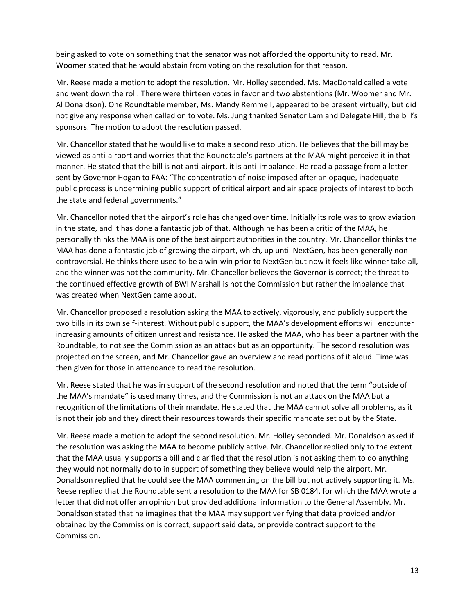being asked to vote on something that the senator was not afforded the opportunity to read. Mr. Woomer stated that he would abstain from voting on the resolution for that reason.

Mr. Reese made a motion to adopt the resolution. Mr. Holley seconded. Ms. MacDonald called a vote and went down the roll. There were thirteen votes in favor and two abstentions (Mr. Woomer and Mr. Al Donaldson). One Roundtable member, Ms. Mandy Remmell, appeared to be present virtually, but did not give any response when called on to vote. Ms. Jung thanked Senator Lam and Delegate Hill, the bill's sponsors. The motion to adopt the resolution passed.

Mr. Chancellor stated that he would like to make a second resolution. He believes that the bill may be viewed as anti-airport and worries that the Roundtable's partners at the MAA might perceive it in that manner. He stated that the bill is not anti-airport, it is anti-imbalance. He read a passage from a letter sent by Governor Hogan to FAA: "The concentration of noise imposed after an opaque, inadequate public process is undermining public support of critical airport and air space projects of interest to both the state and federal governments."

Mr. Chancellor noted that the airport's role has changed over time. Initially its role was to grow aviation in the state, and it has done a fantastic job of that. Although he has been a critic of the MAA, he personally thinks the MAA is one of the best airport authorities in the country. Mr. Chancellor thinks the MAA has done a fantastic job of growing the airport, which, up until NextGen, has been generally noncontroversial. He thinks there used to be a win-win prior to NextGen but now it feels like winner take all, and the winner was not the community. Mr. Chancellor believes the Governor is correct; the threat to the continued effective growth of BWI Marshall is not the Commission but rather the imbalance that was created when NextGen came about.

Mr. Chancellor proposed a resolution asking the MAA to actively, vigorously, and publicly support the two bills in its own self-interest. Without public support, the MAA's development efforts will encounter increasing amounts of citizen unrest and resistance. He asked the MAA, who has been a partner with the Roundtable, to not see the Commission as an attack but as an opportunity. The second resolution was projected on the screen, and Mr. Chancellor gave an overview and read portions of it aloud. Time was then given for those in attendance to read the resolution.

Mr. Reese stated that he was in support of the second resolution and noted that the term "outside of the MAA's mandate" is used many times, and the Commission is not an attack on the MAA but a recognition of the limitations of their mandate. He stated that the MAA cannot solve all problems, as it is not their job and they direct their resources towards their specific mandate set out by the State.

Mr. Reese made a motion to adopt the second resolution. Mr. Holley seconded. Mr. Donaldson asked if the resolution was asking the MAA to become publicly active. Mr. Chancellor replied only to the extent that the MAA usually supports a bill and clarified that the resolution is not asking them to do anything they would not normally do to in support of something they believe would help the airport. Mr. Donaldson replied that he could see the MAA commenting on the bill but not actively supporting it. Ms. Reese replied that the Roundtable sent a resolution to the MAA for SB 0184, for which the MAA wrote a letter that did not offer an opinion but provided additional information to the General Assembly. Mr. Donaldson stated that he imagines that the MAA may support verifying that data provided and/or obtained by the Commission is correct, support said data, or provide contract support to the Commission.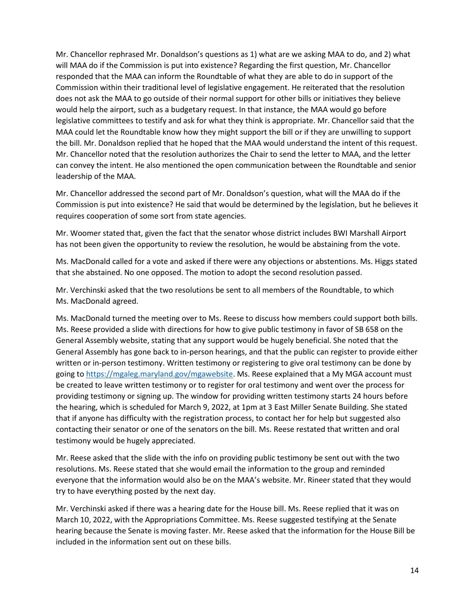Mr. Chancellor rephrased Mr. Donaldson's questions as 1) what are we asking MAA to do, and 2) what will MAA do if the Commission is put into existence? Regarding the first question, Mr. Chancellor responded that the MAA can inform the Roundtable of what they are able to do in support of the Commission within their traditional level of legislative engagement. He reiterated that the resolution does not ask the MAA to go outside of their normal support for other bills or initiatives they believe would help the airport, such as a budgetary request. In that instance, the MAA would go before legislative committees to testify and ask for what they think is appropriate. Mr. Chancellor said that the MAA could let the Roundtable know how they might support the bill or if they are unwilling to support the bill. Mr. Donaldson replied that he hoped that the MAA would understand the intent of this request. Mr. Chancellor noted that the resolution authorizes the Chair to send the letter to MAA, and the letter can convey the intent. He also mentioned the open communication between the Roundtable and senior leadership of the MAA.

Mr. Chancellor addressed the second part of Mr. Donaldson's question, what will the MAA do if the Commission is put into existence? He said that would be determined by the legislation, but he believes it requires cooperation of some sort from state agencies.

Mr. Woomer stated that, given the fact that the senator whose district includes BWI Marshall Airport has not been given the opportunity to review the resolution, he would be abstaining from the vote.

Ms. MacDonald called for a vote and asked if there were any objections or abstentions. Ms. Higgs stated that she abstained. No one opposed. The motion to adopt the second resolution passed.

Mr. Verchinski asked that the two resolutions be sent to all members of the Roundtable, to which Ms. MacDonald agreed.

Ms. MacDonald turned the meeting over to Ms. Reese to discuss how members could support both bills. Ms. Reese provided a slide with directions for how to give public testimony in favor of SB 658 on the General Assembly website, stating that any support would be hugely beneficial. She noted that the General Assembly has gone back to in-person hearings, and that the public can register to provide either written or in-person testimony. Written testimony or registering to give oral testimony can be done by going to [https://mgaleg.maryland.gov/mgawebsite.](https://mgaleg.maryland.gov/mgawebsite) Ms. Reese explained that a My MGA account must be created to leave written testimony or to register for oral testimony and went over the process for providing testimony or signing up. The window for providing written testimony starts 24 hours before the hearing, which is scheduled for March 9, 2022, at 1pm at 3 East Miller Senate Building. She stated that if anyone has difficulty with the registration process, to contact her for help but suggested also contacting their senator or one of the senators on the bill. Ms. Reese restated that written and oral testimony would be hugely appreciated.

Mr. Reese asked that the slide with the info on providing public testimony be sent out with the two resolutions. Ms. Reese stated that she would email the information to the group and reminded everyone that the information would also be on the MAA's website. Mr. Rineer stated that they would try to have everything posted by the next day.

Mr. Verchinski asked if there was a hearing date for the House bill. Ms. Reese replied that it was on March 10, 2022, with the Appropriations Committee. Ms. Reese suggested testifying at the Senate hearing because the Senate is moving faster. Mr. Reese asked that the information for the House Bill be included in the information sent out on these bills.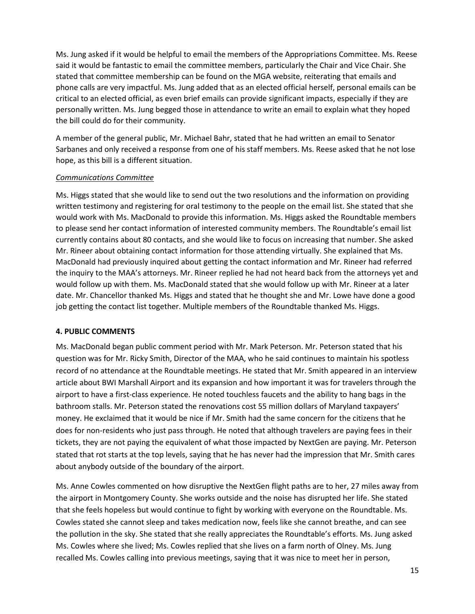Ms. Jung asked if it would be helpful to email the members of the Appropriations Committee. Ms. Reese said it would be fantastic to email the committee members, particularly the Chair and Vice Chair. She stated that committee membership can be found on the MGA website, reiterating that emails and phone calls are very impactful. Ms. Jung added that as an elected official herself, personal emails can be critical to an elected official, as even brief emails can provide significant impacts, especially if they are personally written. Ms. Jung begged those in attendance to write an email to explain what they hoped the bill could do for their community.

A member of the general public, Mr. Michael Bahr, stated that he had written an email to Senator Sarbanes and only received a response from one of his staff members. Ms. Reese asked that he not lose hope, as this bill is a different situation.

### *Communications Committee*

Ms. Higgs stated that she would like to send out the two resolutions and the information on providing written testimony and registering for oral testimony to the people on the email list. She stated that she would work with Ms. MacDonald to provide this information. Ms. Higgs asked the Roundtable members to please send her contact information of interested community members. The Roundtable's email list currently contains about 80 contacts, and she would like to focus on increasing that number. She asked Mr. Rineer about obtaining contact information for those attending virtually. She explained that Ms. MacDonald had previously inquired about getting the contact information and Mr. Rineer had referred the inquiry to the MAA's attorneys. Mr. Rineer replied he had not heard back from the attorneys yet and would follow up with them. Ms. MacDonald stated that she would follow up with Mr. Rineer at a later date. Mr. Chancellor thanked Ms. Higgs and stated that he thought she and Mr. Lowe have done a good job getting the contact list together. Multiple members of the Roundtable thanked Ms. Higgs.

### **4. PUBLIC COMMENTS**

Ms. MacDonald began public comment period with Mr. Mark Peterson. Mr. Peterson stated that his question was for Mr. Ricky Smith, Director of the MAA, who he said continues to maintain his spotless record of no attendance at the Roundtable meetings. He stated that Mr. Smith appeared in an interview article about BWI Marshall Airport and its expansion and how important it was for travelers through the airport to have a first-class experience. He noted touchless faucets and the ability to hang bags in the bathroom stalls. Mr. Peterson stated the renovations cost 55 million dollars of Maryland taxpayers' money. He exclaimed that it would be nice if Mr. Smith had the same concern for the citizens that he does for non-residents who just pass through. He noted that although travelers are paying fees in their tickets, they are not paying the equivalent of what those impacted by NextGen are paying. Mr. Peterson stated that rot starts at the top levels, saying that he has never had the impression that Mr. Smith cares about anybody outside of the boundary of the airport.

Ms. Anne Cowles commented on how disruptive the NextGen flight paths are to her, 27 miles away from the airport in Montgomery County. She works outside and the noise has disrupted her life. She stated that she feels hopeless but would continue to fight by working with everyone on the Roundtable. Ms. Cowles stated she cannot sleep and takes medication now, feels like she cannot breathe, and can see the pollution in the sky. She stated that she really appreciates the Roundtable's efforts. Ms. Jung asked Ms. Cowles where she lived; Ms. Cowles replied that she lives on a farm north of Olney. Ms. Jung recalled Ms. Cowles calling into previous meetings, saying that it was nice to meet her in person,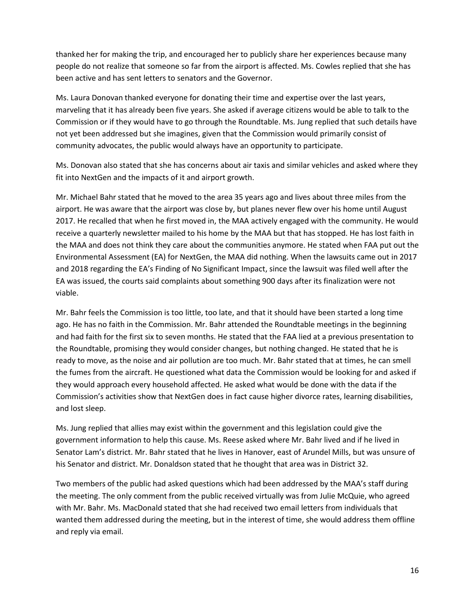thanked her for making the trip, and encouraged her to publicly share her experiences because many people do not realize that someone so far from the airport is affected. Ms. Cowles replied that she has been active and has sent letters to senators and the Governor.

Ms. Laura Donovan thanked everyone for donating their time and expertise over the last years, marveling that it has already been five years. She asked if average citizens would be able to talk to the Commission or if they would have to go through the Roundtable. Ms. Jung replied that such details have not yet been addressed but she imagines, given that the Commission would primarily consist of community advocates, the public would always have an opportunity to participate.

Ms. Donovan also stated that she has concerns about air taxis and similar vehicles and asked where they fit into NextGen and the impacts of it and airport growth.

Mr. Michael Bahr stated that he moved to the area 35 years ago and lives about three miles from the airport. He was aware that the airport was close by, but planes never flew over his home until August 2017. He recalled that when he first moved in, the MAA actively engaged with the community. He would receive a quarterly newsletter mailed to his home by the MAA but that has stopped. He has lost faith in the MAA and does not think they care about the communities anymore. He stated when FAA put out the Environmental Assessment (EA) for NextGen, the MAA did nothing. When the lawsuits came out in 2017 and 2018 regarding the EA's Finding of No Significant Impact, since the lawsuit was filed well after the EA was issued, the courts said complaints about something 900 days after its finalization were not viable.

Mr. Bahr feels the Commission is too little, too late, and that it should have been started a long time ago. He has no faith in the Commission. Mr. Bahr attended the Roundtable meetings in the beginning and had faith for the first six to seven months. He stated that the FAA lied at a previous presentation to the Roundtable, promising they would consider changes, but nothing changed. He stated that he is ready to move, as the noise and air pollution are too much. Mr. Bahr stated that at times, he can smell the fumes from the aircraft. He questioned what data the Commission would be looking for and asked if they would approach every household affected. He asked what would be done with the data if the Commission's activities show that NextGen does in fact cause higher divorce rates, learning disabilities, and lost sleep.

Ms. Jung replied that allies may exist within the government and this legislation could give the government information to help this cause. Ms. Reese asked where Mr. Bahr lived and if he lived in Senator Lam's district. Mr. Bahr stated that he lives in Hanover, east of Arundel Mills, but was unsure of his Senator and district. Mr. Donaldson stated that he thought that area was in District 32.

Two members of the public had asked questions which had been addressed by the MAA's staff during the meeting. The only comment from the public received virtually was from Julie McQuie, who agreed with Mr. Bahr. Ms. MacDonald stated that she had received two email letters from individuals that wanted them addressed during the meeting, but in the interest of time, she would address them offline and reply via email.